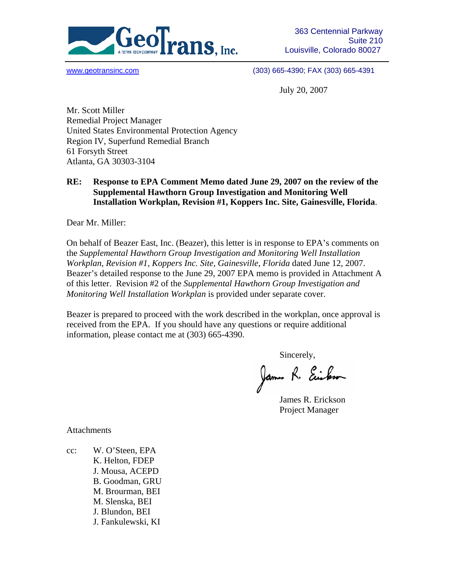

www.geotransinc.com (303) 665-4390; FAX (303) 665-4391

July 20, 2007

Mr. Scott Miller Remedial Project Manager United States Environmental Protection Agency Region IV, Superfund Remedial Branch 61 Forsyth Street Atlanta, GA 30303-3104

## **RE: Response to EPA Comment Memo dated June 29, 2007 on the review of the Supplemental Hawthorn Group Investigation and Monitoring Well Installation Workplan, Revision #1, Koppers Inc. Site, Gainesville, Florida**.

Dear Mr. Miller:

On behalf of Beazer East, Inc. (Beazer), this letter is in response to EPA's comments on the *Supplemental Hawthorn Group Investigation and Monitoring Well Installation Workplan, Revision #1, Koppers Inc. Site, Gainesville, Florida* dated June 12, 2007. Beazer's detailed response to the June 29, 2007 EPA memo is provided in Attachment A of this letter. Revision #2 of the *Supplemental Hawthorn Group Investigation and Monitoring Well Installation Workplan* is provided under separate cover.

Beazer is prepared to proceed with the work described in the workplan, once approval is received from the EPA. If you should have any questions or require additional information, please contact me at (303) 665-4390.

Sincerely,<br>James R. Eciloso

James R. Erickson Project Manager

Attachments

cc: W. O'Steen, EPA K. Helton, FDEP J. Mousa, ACEPD B. Goodman, GRU M. Brourman, BEI M. Slenska, BEI J. Blundon, BEI J. Fankulewski, KI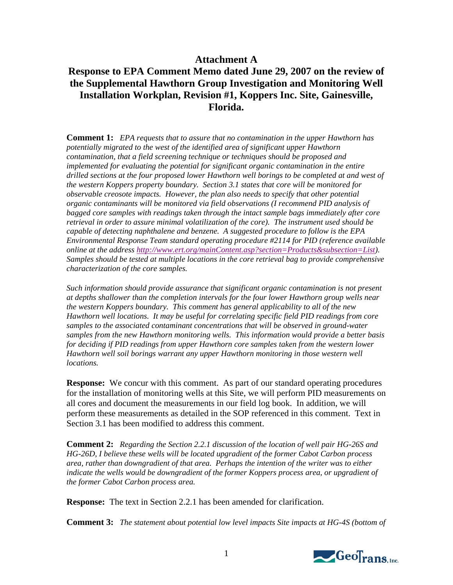## **Attachment A**

## **Response to EPA Comment Memo dated June 29, 2007 on the review of the Supplemental Hawthorn Group Investigation and Monitoring Well Installation Workplan, Revision #1, Koppers Inc. Site, Gainesville, Florida.**

**Comment 1:** *EPA requests that to assure that no contamination in the upper Hawthorn has potentially migrated to the west of the identified area of significant upper Hawthorn contamination, that a field screening technique or techniques should be proposed and implemented for evaluating the potential for significant organic contamination in the entire drilled sections at the four proposed lower Hawthorn well borings to be completed at and west of the western Koppers property boundary. Section 3.1 states that core will be monitored for observable creosote impacts. However, the plan also needs to specify that other potential organic contaminants will be monitored via field observations (I recommend PID analysis of bagged core samples with readings taken through the intact sample bags immediately after core retrieval in order to assure minimal volatilization of the core). The instrument used should be capable of detecting naphthalene and benzene. A suggested procedure to follow is the EPA Environmental Response Team standard operating procedure #2114 for PID (reference available online at the address http://www.ert.org/mainContent.asp?section=Products&subsection=List). Samples should be tested at multiple locations in the core retrieval bag to provide comprehensive characterization of the core samples.*

*Such information should provide assurance that significant organic contamination is not present at depths shallower than the completion intervals for the four lower Hawthorn group wells near the western Koppers boundary. This comment has general applicability to all of the new Hawthorn well locations. It may be useful for correlating specific field PID readings from core samples to the associated contaminant concentrations that will be observed in ground-water samples from the new Hawthorn monitoring wells. This information would provide a better basis for deciding if PID readings from upper Hawthorn core samples taken from the western lower Hawthorn well soil borings warrant any upper Hawthorn monitoring in those western well locations.* 

**Response:** We concur with this comment. As part of our standard operating procedures for the installation of monitoring wells at this Site, we will perform PID measurements on all cores and document the measurements in our field log book. In addition, we will perform these measurements as detailed in the SOP referenced in this comment. Text in Section 3.1 has been modified to address this comment.

**Comment 2:** *Regarding the Section 2.2.1 discussion of the location of well pair HG-26S and HG-26D, I believe these wells will be located upgradient of the former Cabot Carbon process area, rather than downgradient of that area. Perhaps the intention of the writer was to either indicate the wells would be downgradient of the former Koppers process area, or upgradient of the former Cabot Carbon process area.* 

**Response:** The text in Section 2.2.1 has been amended for clarification.

**Comment 3:** *The statement about potential low level impacts Site impacts at HG-4S (bottom of* 

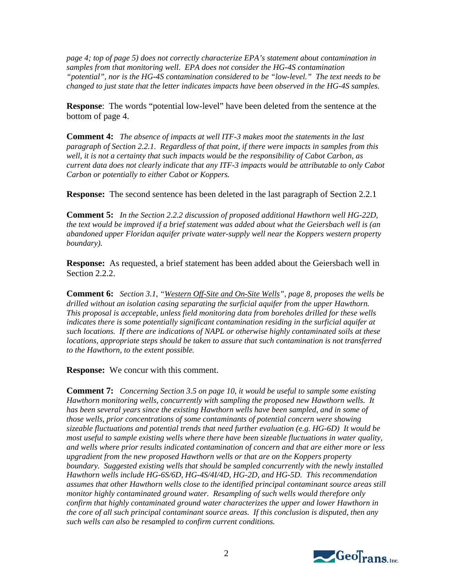*page 4; top of page 5) does not correctly characterize EPA's statement about contamination in samples from that monitoring well. EPA does not consider the HG-4S contamination "potential", nor is the HG-4S contamination considered to be "low-level." The text needs to be changed to just state that the letter indicates impacts have been observed in the HG-4S samples.*

**Response**: The words "potential low-level" have been deleted from the sentence at the bottom of page 4.

**Comment 4:** *The absence of impacts at well ITF-3 makes moot the statements in the last paragraph of Section 2.2.1. Regardless of that point, if there were impacts in samples from this well, it is not a certainty that such impacts would be the responsibility of Cabot Carbon, as current data does not clearly indicate that any ITF-3 impacts would be attributable to only Cabot Carbon or potentially to either Cabot or Koppers.*

**Response:** The second sentence has been deleted in the last paragraph of Section 2.2.1

**Comment 5:** *In the Section 2.2.2 discussion of proposed additional Hawthorn well HG-22D, the text would be improved if a brief statement was added about what the Geiersbach well is (an abandoned upper Floridan aquifer private water-supply well near the Koppers western property boundary).*

**Response:** As requested, a brief statement has been added about the Geiersbach well in Section 2.2.2.

**Comment 6:** *Section 3.1, "Western Off-Site and On-Site Wells", page 8, proposes the wells be drilled without an isolation casing separating the surficial aquifer from the upper Hawthorn. This proposal is acceptable, unless field monitoring data from boreholes drilled for these wells indicates there is some potentially significant contamination residing in the surficial aquifer at such locations. If there are indications of NAPL or otherwise highly contaminated soils at these locations, appropriate steps should be taken to assure that such contamination is not transferred to the Hawthorn, to the extent possible.*

**Response:** We concur with this comment.

**Comment 7:** *Concerning Section 3.5 on page 10, it would be useful to sample some existing Hawthorn monitoring wells, concurrently with sampling the proposed new Hawthorn wells. It*  has been several years since the existing Hawthorn wells have been sampled, and in some of *those wells, prior concentrations of some contaminants of potential concern were showing sizeable fluctuations and potential trends that need further evaluation (e.g. HG-6D) It would be most useful to sample existing wells where there have been sizeable fluctuations in water quality, and wells where prior results indicated contamination of concern and that are either more or less upgradient from the new proposed Hawthorn wells or that are on the Koppers property boundary. Suggested existing wells that should be sampled concurrently with the newly installed Hawthorn wells include HG-6S/6D, HG-4S/4I/4D, HG-2D, and HG-5D. This recommendation assumes that other Hawthorn wells close to the identified principal contaminant source areas still monitor highly contaminated ground water. Resampling of such wells would therefore only confirm that highly contaminated ground water characterizes the upper and lower Hawthorn in the core of all such principal contaminant source areas. If this conclusion is disputed, then any such wells can also be resampled to confirm current conditions.*